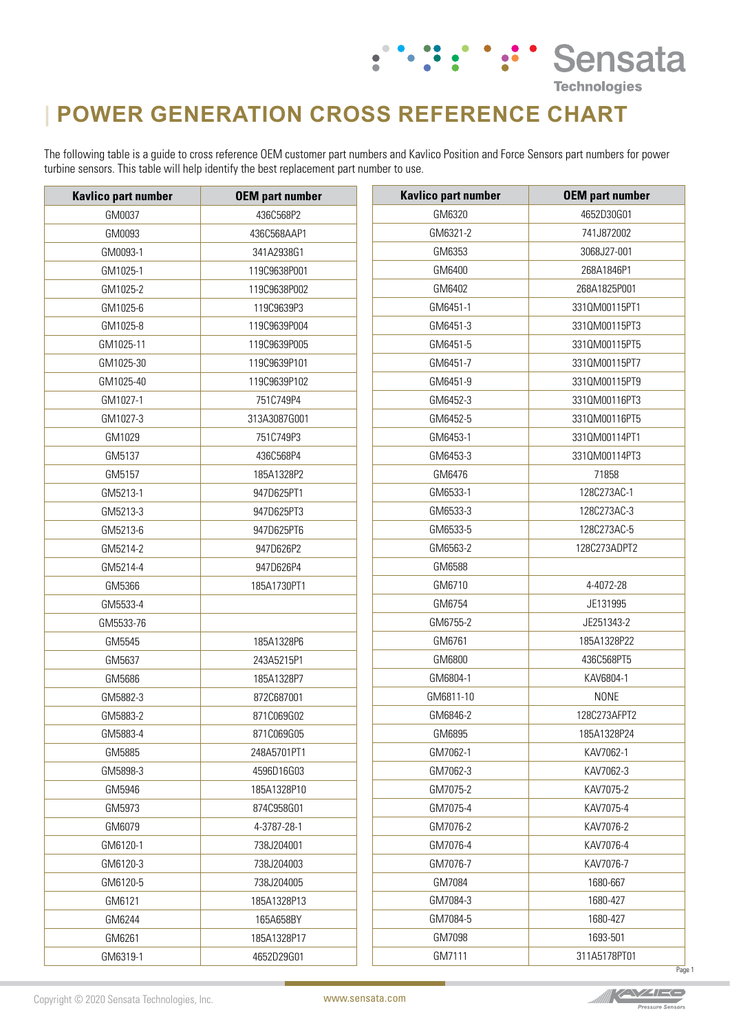## **| POWER GENERATION CROSS REFERENCE CHART**

The following table is a guide to cross reference OEM customer part numbers and Kavlico Position and Force Sensors part numbers for power turbine sensors. This table will help identify the best replacement part number to use.

 $\bullet$ 

: ": " Sensata

**Technologies** 

| <b>Kavlico part number</b> | <b>OEM</b> part number | <b>Kavlico part number</b> | <b>OEM part number</b> |
|----------------------------|------------------------|----------------------------|------------------------|
| GM0037                     | 436C568P2              | GM6320                     | 4652D30G01             |
| GM0093                     | 436C568AAP1            | GM6321-2                   | 741J872002             |
| GM0093-1                   | 341A2938G1             | GM6353                     | 3068J27-001            |
| GM1025-1                   | 119C9638P001           | GM6400                     | 268A1846P1             |
| GM1025-2                   | 119C9638P002           | GM6402                     | 268A1825P001           |
| GM1025-6                   | 119C9639P3             | GM6451-1                   | 331QM00115PT1          |
| GM1025-8                   | 119C9639P004           | GM6451-3                   | 331QM00115PT3          |
| GM1025-11                  | 119C9639P005           | GM6451-5                   | 3310M00115PT5          |
| GM1025-30                  | 119C9639P101           | GM6451-7                   | 331QM00115PT7          |
| GM1025-40                  | 119C9639P102           | GM6451-9                   | 331QM00115PT9          |
| GM1027-1                   | 751C749P4              | GM6452-3                   | 331QM00116PT3          |
| GM1027-3                   | 313A3087G001           | GM6452-5                   | 331QM00116PT5          |
| GM1029                     | 751C749P3              | GM6453-1                   | 331QM00114PT1          |
| GM5137                     | 436C568P4              | GM6453-3                   | 331QM00114PT3          |
| GM5157                     | 185A1328P2             | GM6476                     | 71858                  |
| GM5213-1                   | 947D625PT1             | GM6533-1                   | 128C273AC-1            |
| GM5213-3                   | 947D625PT3             | GM6533-3                   | 128C273AC-3            |
| GM5213-6                   | 947D625PT6             | GM6533-5                   | 128C273AC-5            |
| GM5214-2                   | 947D626P2              | GM6563-2                   | 128C273ADPT2           |
| GM5214-4                   | 947D626P4              | GM6588                     |                        |
| GM5366                     | 185A1730PT1            | GM6710                     | 4-4072-28              |
| GM5533-4                   |                        | GM6754                     | JE131995               |
| GM5533-76                  |                        | GM6755-2                   | JE251343-2             |
| GM5545                     | 185A1328P6             | GM6761                     | 185A1328P22            |
| GM5637                     | 243A5215P1             | GM6800                     | 436C568PT5             |
| GM5686                     | 185A1328P7             | GM6804-1                   | KAV6804-1              |
| GM5882-3                   | 872C687001             | GM6811-10                  | <b>NONE</b>            |
| GM5883-2                   | 871C069G02             | GM6846-2                   | 128C273AFPT2           |
| GM5883-4                   | 871C069G05             | GM6895                     | 185A1328P24            |
| GM5885                     | 248A5701PT1            | GM7062-1                   | KAV7062-1              |
| GM5898-3                   | 4596D16G03             | GM7062-3                   | KAV7062-3              |
| GM5946                     | 185A1328P10            | GM7075-2                   | KAV7075-2              |
| GM5973                     | 874C958G01             | GM7075-4                   | KAV7075-4              |
| GM6079                     | 4-3787-28-1            | GM7076-2                   | KAV7076-2              |
| GM6120-1                   | 738J204001             | GM7076-4                   | KAV7076-4              |
| GM6120-3                   | 738J204003             | GM7076-7                   | KAV7076-7              |
| GM6120-5                   | 738J204005             | GM7084                     | 1680-667               |
| GM6121                     | 185A1328P13            | GM7084-3                   | 1680-427               |
| GM6244                     | 165A658BY              | GM7084-5                   | 1680-427               |
| GM6261                     | 185A1328P17            | GM7098                     | 1693-501               |
| GM6319-1                   | 4652D29G01             | GM7111                     | 311A5178PT01           |